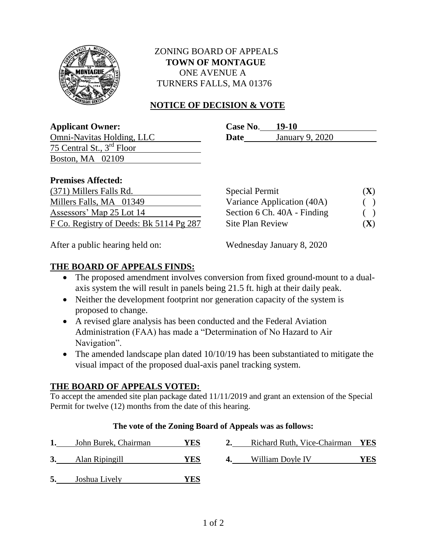

# ZONING BOARD OF APPEALS  **TOWN OF MONTAGUE** ONE AVENUE A TURNERS FALLS, MA 01376

# **NOTICE OF DECISION & VOTE**

| <b>Applicant Owner:</b> | Case No. | 19-10 |
|-------------------------|----------|-------|
|                         |          |       |

**Omni-Navitas Holding, LLC** 75 Central St., 3rd Floor Boston, MA 02109

| Case No. | <b>19-10</b>    |
|----------|-----------------|
| Date     | January 9, 2020 |

#### **Premises Affected:**

| (371) Millers Falls Rd.                 | <b>Special Permit</b>       | (X)                      |
|-----------------------------------------|-----------------------------|--------------------------|
| Millers Falls, MA 01349                 | Variance Application (40A)  | $\overline{\phantom{a}}$ |
| Assessors' Map 25 Lot 14                | Section 6 Ch. 40A - Finding | $\big)$                  |
| F Co. Registry of Deeds: Bk 5114 Pg 287 | <b>Site Plan Review</b>     | $({\bf X})$              |

| <b>Special Permit</b>       | (X) |
|-----------------------------|-----|
| Variance Application (40A)  | ( ) |
| Section 6 Ch. 40A - Finding |     |
| Site Plan Review            | (X) |

After a public hearing held on: Wednesday January 8, 2020

## **THE BOARD OF APPEALS FINDS:**

- The proposed amendment involves conversion from fixed ground-mount to a dualaxis system the will result in panels being 21.5 ft. high at their daily peak.
- Neither the development footprint nor generation capacity of the system is proposed to change.
- A revised glare analysis has been conducted and the Federal Aviation Administration (FAA) has made a "Determination of No Hazard to Air Navigation".
- The amended landscape plan dated 10/10/19 has been substantiated to mitigate the visual impact of the proposed dual-axis panel tracking system.

### **THE BOARD OF APPEALS VOTED:**

To accept the amended site plan package dated 11/11/2019 and grant an extension of the Special Permit for twelve (12) months from the date of this hearing.

### **The vote of the Zoning Board of Appeals was as follows:**

| John Burek, Chairman | YES | Richard Ruth, Vice-Chairman YES |       |
|----------------------|-----|---------------------------------|-------|
| Alan Ripingill       | YES | William Doyle IV                | YES . |
|                      |     |                                 |       |

**5.** Joshua Lively **YES**